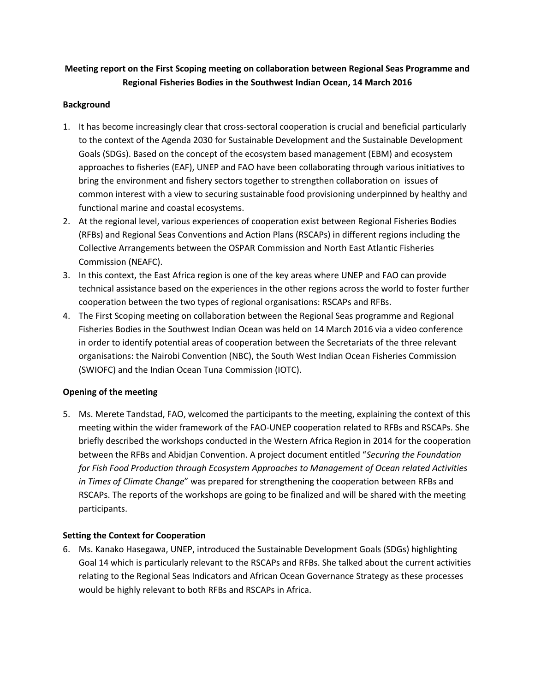## **Meeting report on the First Scoping meeting on collaboration between Regional Seas Programme and Regional Fisheries Bodies in the Southwest Indian Ocean, 14 March 2016**

#### **Background**

- 1. It has become increasingly clear that cross-sectoral cooperation is crucial and beneficial particularly to the context of the Agenda 2030 for Sustainable Development and the Sustainable Development Goals (SDGs). Based on the concept of the ecosystem based management (EBM) and ecosystem approaches to fisheries (EAF), UNEP and FAO have been collaborating through various initiatives to bring the environment and fishery sectors together to strengthen collaboration on issues of common interest with a view to securing sustainable food provisioning underpinned by healthy and functional marine and coastal ecosystems.
- 2. At the regional level, various experiences of cooperation exist between Regional Fisheries Bodies (RFBs) and Regional Seas Conventions and Action Plans (RSCAPs) in different regions including the Collective Arrangements between the OSPAR Commission and North East Atlantic Fisheries Commission (NEAFC).
- 3. In this context, the East Africa region is one of the key areas where UNEP and FAO can provide technical assistance based on the experiences in the other regions across the world to foster further cooperation between the two types of regional organisations: RSCAPs and RFBs.
- 4. The First Scoping meeting on collaboration between the Regional Seas programme and Regional Fisheries Bodies in the Southwest Indian Ocean was held on 14 March 2016 via a video conference in order to identify potential areas of cooperation between the Secretariats of the three relevant organisations: the Nairobi Convention (NBC), the South West Indian Ocean Fisheries Commission (SWIOFC) and the Indian Ocean Tuna Commission (IOTC).

## **Opening of the meeting**

5. Ms. Merete Tandstad, FAO, welcomed the participants to the meeting, explaining the context of this meeting within the wider framework of the FAO-UNEP cooperation related to RFBs and RSCAPs. She briefly described the workshops conducted in the Western Africa Region in 2014 for the cooperation between the RFBs and Abidjan Convention. A project document entitled "*Securing the Foundation for Fish Food Production through Ecosystem Approaches to Management of Ocean related Activities in Times of Climate Change*" was prepared for strengthening the cooperation between RFBs and RSCAPs. The reports of the workshops are going to be finalized and will be shared with the meeting participants.

## **Setting the Context for Cooperation**

6. Ms. Kanako Hasegawa, UNEP, introduced the Sustainable Development Goals (SDGs) highlighting Goal 14 which is particularly relevant to the RSCAPs and RFBs. She talked about the current activities relating to the Regional Seas Indicators and African Ocean Governance Strategy as these processes would be highly relevant to both RFBs and RSCAPs in Africa.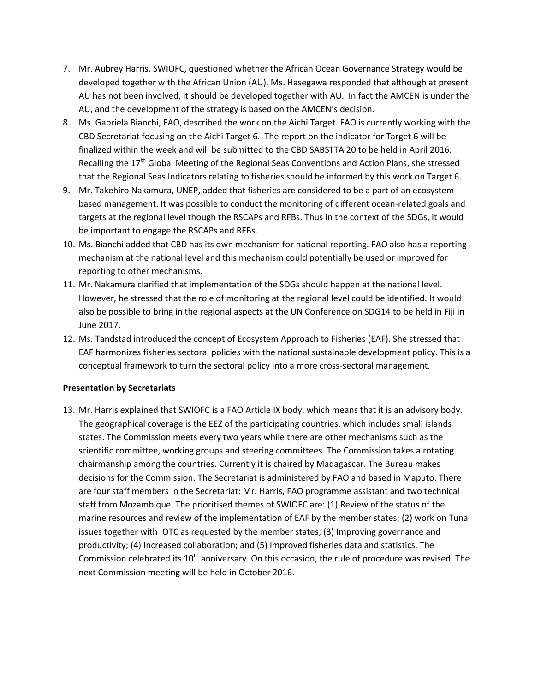- 7. Mr. Aubrey Harris, SWIOFC, questioned whether the African Ocean Governance Strategy would be developed together with the African Union (AU). Ms. Hasegawa responded that although at present AU has not been involved, it should be developed together with AU. In fact the AMCEN is under the AU, and the development of the strategy is based on the AMCEN's decision.
- 8. Ms. Gabriela Bianchi, FAO, described the work on the Aichi Target. FAO is currently working with the CBD Secretariat focusing on the Aichi Target 6. The report on the indicator for Target 6 will be finalized within the week and will be submitted to the CBD SABSTTA 20 to be held in April 2016. Recalling the 17<sup>th</sup> Global Meeting of the Regional Seas Conventions and Action Plans, she stressed that the Regional Seas Indicators relating to fisheries should be informed by this work on Target 6.
- 9. Mr. Takehiro Nakamura, UNEP, added that fisheries are considered to be a part of an ecosystembased management. It was possible to conduct the monitoring of different ocean-related goals and targets at the regional level though the RSCAPs and RFBs. Thus in the context of the SDGs, it would be important to engage the RSCAPs and RFBs.
- 10. Ms. Bianchi added that CBD has its own mechanism for national reporting. FAO also has a reporting mechanism at the national level and this mechanism could potentially be used or improved for reporting to other mechanisms.
- 11. Mr. Nakamura clarified that implementation of the SDGs should happen at the national level. However, he stressed that the role of monitoring at the regional level could be identified. It would also be possible to bring in the regional aspects at the UN Conference on SDG14 to be held in Fiji in June 2017.
- 12. Ms. Tandstad introduced the concept of Ecosystem Approach to Fisheries (EAF). She stressed that EAF harmonizes fisheries sectoral policies with the national sustainable development policy. This is a conceptual framework to turn the sectoral policy into a more cross-sectoral management.

#### **Presentation by Secretariats**

13. Mr. Harris explained that SWIOFC is a FAO Article IX body, which means that it is an advisory body. The geographical coverage is the EEZ of the participating countries, which includes small islands states. The Commission meets every two years while there are other mechanisms such as the scientific committee, working groups and steering committees. The Commission takes a rotating chairmanship among the countries. Currently it is chaired by Madagascar. The Bureau makes decisions for the Commission. The Secretariat is administered by FAO and based in Maputo. There are four staff members in the Secretariat: Mr. Harris, FAO programme assistant and two technical staff from Mozambique. The prioritised themes of SWIOFC are: (1) Review of the status of the marine resources and review of the implementation of EAF by the member states; (2) work on Tuna issues together with IOTC as requested by the member states; (3) Improving governance and productivity; (4) Increased collaboration; and (5) Improved fisheries data and statistics. The Commission celebrated its  $10^{th}$  anniversary. On this occasion, the rule of procedure was revised. The next Commission meeting will be held in October 2016.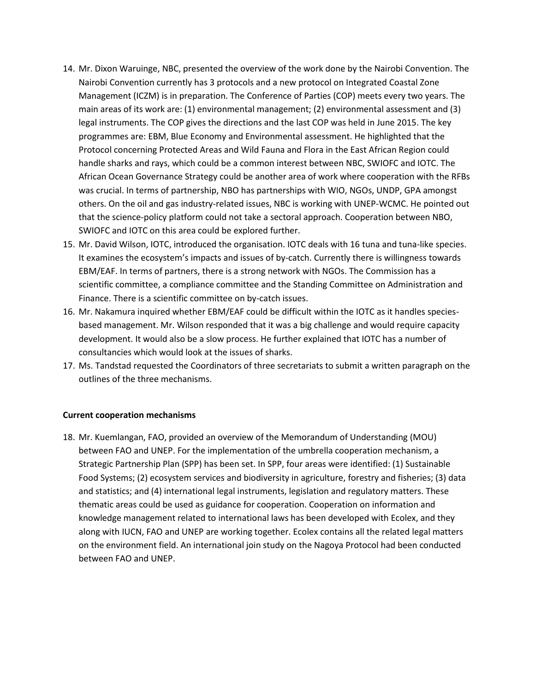- 14. Mr. Dixon Waruinge, NBC, presented the overview of the work done by the Nairobi Convention. The Nairobi Convention currently has 3 protocols and a new protocol on Integrated Coastal Zone Management (ICZM) is in preparation. The Conference of Parties (COP) meets every two years. The main areas of its work are: (1) environmental management; (2) environmental assessment and (3) legal instruments. The COP gives the directions and the last COP was held in June 2015. The key programmes are: EBM, Blue Economy and Environmental assessment. He highlighted that the Protocol concerning Protected Areas and Wild Fauna and Flora in the East African Region could handle sharks and rays, which could be a common interest between NBC, SWIOFC and IOTC. The African Ocean Governance Strategy could be another area of work where cooperation with the RFBs was crucial. In terms of partnership, NBO has partnerships with WIO, NGOs, UNDP, GPA amongst others. On the oil and gas industry-related issues, NBC is working with UNEP-WCMC. He pointed out that the science-policy platform could not take a sectoral approach. Cooperation between NBO, SWIOFC and IOTC on this area could be explored further.
- 15. Mr. David Wilson, IOTC, introduced the organisation. IOTC deals with 16 tuna and tuna-like species. It examines the ecosystem's impacts and issues of by-catch. Currently there is willingness towards EBM/EAF. In terms of partners, there is a strong network with NGOs. The Commission has a scientific committee, a compliance committee and the Standing Committee on Administration and Finance. There is a scientific committee on by-catch issues.
- 16. Mr. Nakamura inquired whether EBM/EAF could be difficult within the IOTC as it handles speciesbased management. Mr. Wilson responded that it was a big challenge and would require capacity development. It would also be a slow process. He further explained that IOTC has a number of consultancies which would look at the issues of sharks.
- 17. Ms. Tandstad requested the Coordinators of three secretariats to submit a written paragraph on the outlines of the three mechanisms.

#### **Current cooperation mechanisms**

18. Mr. Kuemlangan, FAO, provided an overview of the Memorandum of Understanding (MOU) between FAO and UNEP. For the implementation of the umbrella cooperation mechanism, a Strategic Partnership Plan (SPP) has been set. In SPP, four areas were identified: (1) Sustainable Food Systems; (2) ecosystem services and biodiversity in agriculture, forestry and fisheries; (3) data and statistics; and (4) international legal instruments, legislation and regulatory matters. These thematic areas could be used as guidance for cooperation. Cooperation on information and knowledge management related to international laws has been developed with Ecolex, and they along with IUCN, FAO and UNEP are working together. Ecolex contains all the related legal matters on the environment field. An international join study on the Nagoya Protocol had been conducted between FAO and UNEP.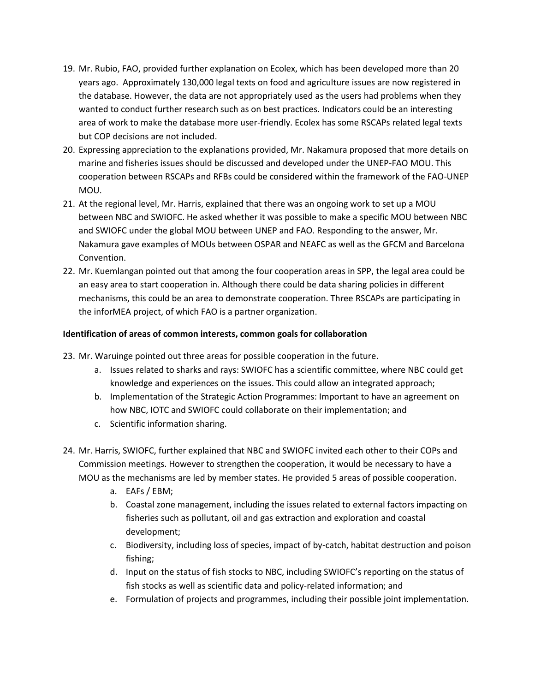- 19. Mr. Rubio, FAO, provided further explanation on Ecolex, which has been developed more than 20 years ago. Approximately 130,000 legal texts on food and agriculture issues are now registered in the database. However, the data are not appropriately used as the users had problems when they wanted to conduct further research such as on best practices. Indicators could be an interesting area of work to make the database more user-friendly. Ecolex has some RSCAPs related legal texts but COP decisions are not included.
- 20. Expressing appreciation to the explanations provided, Mr. Nakamura proposed that more details on marine and fisheries issues should be discussed and developed under the UNEP-FAO MOU. This cooperation between RSCAPs and RFBs could be considered within the framework of the FAO-UNEP MOU.
- 21. At the regional level, Mr. Harris, explained that there was an ongoing work to set up a MOU between NBC and SWIOFC. He asked whether it was possible to make a specific MOU between NBC and SWIOFC under the global MOU between UNEP and FAO. Responding to the answer, Mr. Nakamura gave examples of MOUs between OSPAR and NEAFC as well as the GFCM and Barcelona Convention.
- 22. Mr. Kuemlangan pointed out that among the four cooperation areas in SPP, the legal area could be an easy area to start cooperation in. Although there could be data sharing policies in different mechanisms, this could be an area to demonstrate cooperation. Three RSCAPs are participating in the inforMEA project, of which FAO is a partner organization.

## **Identification of areas of common interests, common goals for collaboration**

- 23. Mr. Waruinge pointed out three areas for possible cooperation in the future.
	- a. Issues related to sharks and rays: SWIOFC has a scientific committee, where NBC could get knowledge and experiences on the issues. This could allow an integrated approach;
	- b. Implementation of the Strategic Action Programmes: Important to have an agreement on how NBC, IOTC and SWIOFC could collaborate on their implementation; and
	- c. Scientific information sharing.
- 24. Mr. Harris, SWIOFC, further explained that NBC and SWIOFC invited each other to their COPs and Commission meetings. However to strengthen the cooperation, it would be necessary to have a MOU as the mechanisms are led by member states. He provided 5 areas of possible cooperation.
	- a. EAFs / EBM;
	- b. Coastal zone management, including the issues related to external factors impacting on fisheries such as pollutant, oil and gas extraction and exploration and coastal development;
	- c. Biodiversity, including loss of species, impact of by-catch, habitat destruction and poison fishing;
	- d. Input on the status of fish stocks to NBC, including SWIOFC's reporting on the status of fish stocks as well as scientific data and policy-related information; and
	- e. Formulation of projects and programmes, including their possible joint implementation.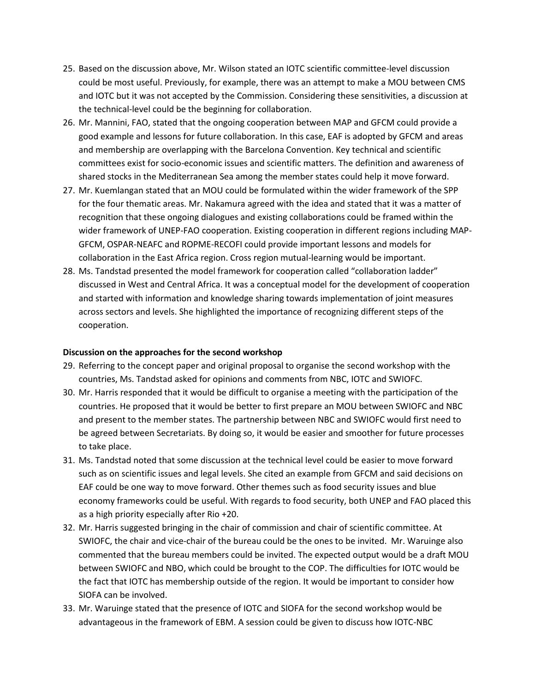- 25. Based on the discussion above, Mr. Wilson stated an IOTC scientific committee-level discussion could be most useful. Previously, for example, there was an attempt to make a MOU between CMS and IOTC but it was not accepted by the Commission. Considering these sensitivities, a discussion at the technical-level could be the beginning for collaboration.
- 26. Mr. Mannini, FAO, stated that the ongoing cooperation between MAP and GFCM could provide a good example and lessons for future collaboration. In this case, EAF is adopted by GFCM and areas and membership are overlapping with the Barcelona Convention. Key technical and scientific committees exist for socio-economic issues and scientific matters. The definition and awareness of shared stocks in the Mediterranean Sea among the member states could help it move forward.
- 27. Mr. Kuemlangan stated that an MOU could be formulated within the wider framework of the SPP for the four thematic areas. Mr. Nakamura agreed with the idea and stated that it was a matter of recognition that these ongoing dialogues and existing collaborations could be framed within the wider framework of UNEP-FAO cooperation. Existing cooperation in different regions including MAP-GFCM, OSPAR-NEAFC and ROPME-RECOFI could provide important lessons and models for collaboration in the East Africa region. Cross region mutual-learning would be important.
- 28. Ms. Tandstad presented the model framework for cooperation called "collaboration ladder" discussed in West and Central Africa. It was a conceptual model for the development of cooperation and started with information and knowledge sharing towards implementation of joint measures across sectors and levels. She highlighted the importance of recognizing different steps of the cooperation.

#### **Discussion on the approaches for the second workshop**

- 29. Referring to the concept paper and original proposal to organise the second workshop with the countries, Ms. Tandstad asked for opinions and comments from NBC, IOTC and SWIOFC.
- 30. Mr. Harris responded that it would be difficult to organise a meeting with the participation of the countries. He proposed that it would be better to first prepare an MOU between SWIOFC and NBC and present to the member states. The partnership between NBC and SWIOFC would first need to be agreed between Secretariats. By doing so, it would be easier and smoother for future processes to take place.
- 31. Ms. Tandstad noted that some discussion at the technical level could be easier to move forward such as on scientific issues and legal levels. She cited an example from GFCM and said decisions on EAF could be one way to move forward. Other themes such as food security issues and blue economy frameworks could be useful. With regards to food security, both UNEP and FAO placed this as a high priority especially after Rio +20.
- 32. Mr. Harris suggested bringing in the chair of commission and chair of scientific committee. At SWIOFC, the chair and vice-chair of the bureau could be the ones to be invited. Mr. Waruinge also commented that the bureau members could be invited. The expected output would be a draft MOU between SWIOFC and NBO, which could be brought to the COP. The difficulties for IOTC would be the fact that IOTC has membership outside of the region. It would be important to consider how SIOFA can be involved.
- 33. Mr. Waruinge stated that the presence of IOTC and SIOFA for the second workshop would be advantageous in the framework of EBM. A session could be given to discuss how IOTC-NBC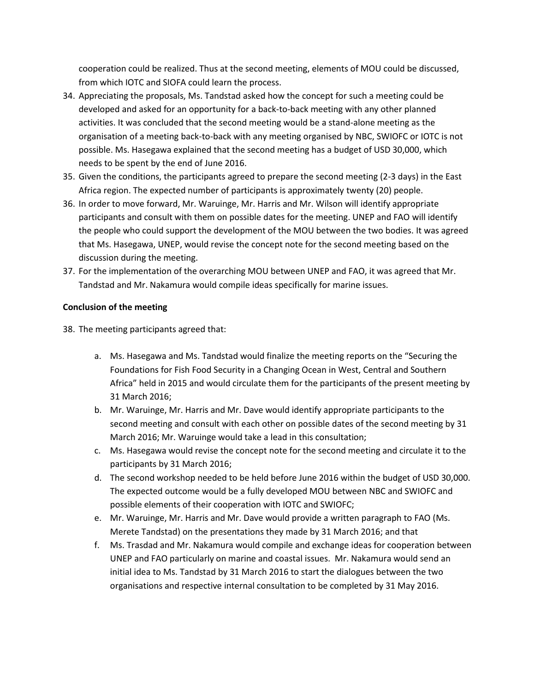cooperation could be realized. Thus at the second meeting, elements of MOU could be discussed, from which IOTC and SIOFA could learn the process.

- 34. Appreciating the proposals, Ms. Tandstad asked how the concept for such a meeting could be developed and asked for an opportunity for a back-to-back meeting with any other planned activities. It was concluded that the second meeting would be a stand-alone meeting as the organisation of a meeting back-to-back with any meeting organised by NBC, SWIOFC or IOTC is not possible. Ms. Hasegawa explained that the second meeting has a budget of USD 30,000, which needs to be spent by the end of June 2016.
- 35. Given the conditions, the participants agreed to prepare the second meeting (2-3 days) in the East Africa region. The expected number of participants is approximately twenty (20) people.
- 36. In order to move forward, Mr. Waruinge, Mr. Harris and Mr. Wilson will identify appropriate participants and consult with them on possible dates for the meeting. UNEP and FAO will identify the people who could support the development of the MOU between the two bodies. It was agreed that Ms. Hasegawa, UNEP, would revise the concept note for the second meeting based on the discussion during the meeting.
- 37. For the implementation of the overarching MOU between UNEP and FAO, it was agreed that Mr. Tandstad and Mr. Nakamura would compile ideas specifically for marine issues.

## **Conclusion of the meeting**

- 38. The meeting participants agreed that:
	- a. Ms. Hasegawa and Ms. Tandstad would finalize the meeting reports on the "Securing the Foundations for Fish Food Security in a Changing Ocean in West, Central and Southern Africa" held in 2015 and would circulate them for the participants of the present meeting by 31 March 2016;
	- b. Mr. Waruinge, Mr. Harris and Mr. Dave would identify appropriate participants to the second meeting and consult with each other on possible dates of the second meeting by 31 March 2016; Mr. Waruinge would take a lead in this consultation;
	- c. Ms. Hasegawa would revise the concept note for the second meeting and circulate it to the participants by 31 March 2016;
	- d. The second workshop needed to be held before June 2016 within the budget of USD 30,000. The expected outcome would be a fully developed MOU between NBC and SWIOFC and possible elements of their cooperation with IOTC and SWIOFC;
	- e. Mr. Waruinge, Mr. Harris and Mr. Dave would provide a written paragraph to FAO (Ms. Merete Tandstad) on the presentations they made by 31 March 2016; and that
	- f. Ms. Trasdad and Mr. Nakamura would compile and exchange ideas for cooperation between UNEP and FAO particularly on marine and coastal issues. Mr. Nakamura would send an initial idea to Ms. Tandstad by 31 March 2016 to start the dialogues between the two organisations and respective internal consultation to be completed by 31 May 2016.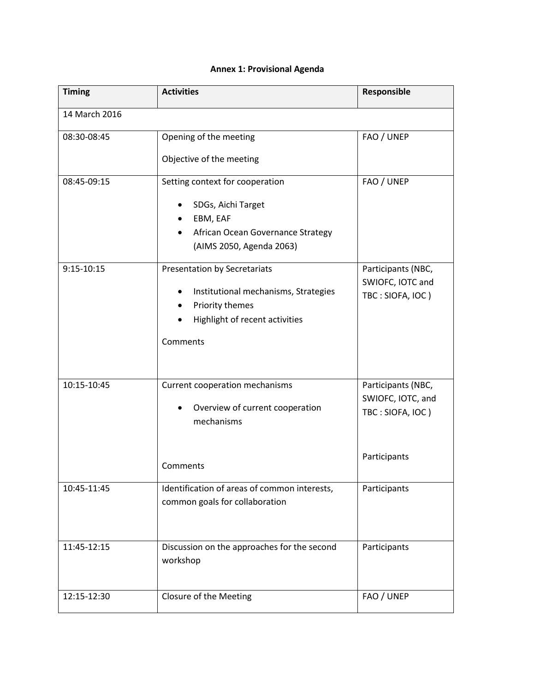# **Annex 1: Provisional Agenda**

| <b>Timing</b>                                  | <b>Activities</b>                             | Responsible        |
|------------------------------------------------|-----------------------------------------------|--------------------|
| 14 March 2016                                  |                                               |                    |
| 08:30-08:45                                    | Opening of the meeting                        | FAO / UNEP         |
|                                                | Objective of the meeting                      |                    |
| 08:45-09:15                                    | Setting context for cooperation               | FAO / UNEP         |
|                                                | SDGs, Aichi Target                            |                    |
|                                                | EBM, EAF                                      |                    |
|                                                | African Ocean Governance Strategy             |                    |
|                                                | (AIMS 2050, Agenda 2063)                      |                    |
| $9:15 - 10:15$<br>Presentation by Secretariats |                                               | Participants (NBC, |
|                                                | Institutional mechanisms, Strategies          | SWIOFC, IOTC and   |
|                                                | Priority themes<br>$\bullet$                  | TBC: SIOFA, IOC)   |
|                                                | Highlight of recent activities                |                    |
|                                                | Comments                                      |                    |
|                                                |                                               |                    |
|                                                |                                               |                    |
| 10:15-10:45<br>Current cooperation mechanisms  |                                               | Participants (NBC, |
|                                                |                                               | SWIOFC, IOTC, and  |
|                                                | Overview of current cooperation<br>mechanisms | TBC: SIOFA, IOC)   |
|                                                |                                               |                    |
|                                                |                                               | Participants       |
|                                                | Comments                                      |                    |
| 10:45-11:45                                    | Identification of areas of common interests,  | Participants       |
|                                                | common goals for collaboration                |                    |
|                                                |                                               |                    |
| 11:45-12:15                                    | Discussion on the approaches for the second   | Participants       |
| workshop                                       |                                               |                    |
|                                                |                                               |                    |
| 12:15-12:30                                    | Closure of the Meeting                        | FAO / UNEP         |
|                                                |                                               |                    |